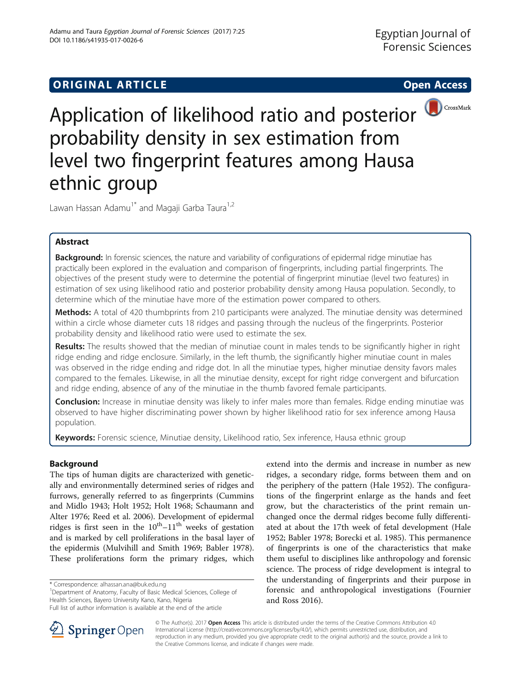# **ORIGINAL ARTICLE CONSERVANCE IN A LOCAL CONSERVANCE IN A LOCAL CONSERVANCE IN A LOCAL CONSERVANCE IN A LOCAL CONS**





Application of likelihood ratio and posterior **OCCONG A**CrossMark probability density in sex estimation from level two fingerprint features among Hausa ethnic group

Lawan Hassan Adamu<sup>1\*</sup> and Magaji Garba Taura<sup>1,2</sup>

# Abstract

Background: In forensic sciences, the nature and variability of configurations of epidermal ridge minutiae has practically been explored in the evaluation and comparison of fingerprints, including partial fingerprints. The objectives of the present study were to determine the potential of fingerprint minutiae (level two features) in estimation of sex using likelihood ratio and posterior probability density among Hausa population. Secondly, to determine which of the minutiae have more of the estimation power compared to others.

Methods: A total of 420 thumbprints from 210 participants were analyzed. The minutiae density was determined within a circle whose diameter cuts 18 ridges and passing through the nucleus of the fingerprints. Posterior probability density and likelihood ratio were used to estimate the sex.

Results: The results showed that the median of minutiae count in males tends to be significantly higher in right ridge ending and ridge enclosure. Similarly, in the left thumb, the significantly higher minutiae count in males was observed in the ridge ending and ridge dot. In all the minutiae types, higher minutiae density favors males compared to the females. Likewise, in all the minutiae density, except for right ridge convergent and bifurcation and ridge ending, absence of any of the minutiae in the thumb favored female participants.

**Conclusion:** Increase in minutiae density was likely to infer males more than females. Ridge ending minutiae was observed to have higher discriminating power shown by higher likelihood ratio for sex inference among Hausa population.

Keywords: Forensic science, Minutiae density, Likelihood ratio, Sex inference, Hausa ethnic group

# Background

The tips of human digits are characterized with genetically and environmentally determined series of ridges and furrows, generally referred to as fingerprints (Cummins and Midlo [1943](#page-9-0); Holt [1952;](#page-9-0) Holt [1968](#page-9-0); Schaumann and Alter [1976](#page-9-0); Reed et al. [2006](#page-9-0)). Development of epidermal ridges is first seen in the  $10^{th}$ – $11^{th}$  weeks of gestation and is marked by cell proliferations in the basal layer of the epidermis (Mulvihill and Smith [1969](#page-9-0); Babler [1978](#page-9-0)). These proliferations form the primary ridges, which

\* Correspondence: [alhassan.ana@buk.edu.ng](mailto:alhassan.ana@buk.edu.ng) <sup>1</sup>

<sup>1</sup>Department of Anatomy, Faculty of Basic Medical Sciences, College of Health Sciences, Bayero University Kano, Kano, Nigeria

Full list of author information is available at the end of the article





© The Author(s). 2017 **Open Access** This article is distributed under the terms of the Creative Commons Attribution 4.0 International License ([http://creativecommons.org/licenses/by/4.0/\)](http://creativecommons.org/licenses/by/4.0/), which permits unrestricted use, distribution, and reproduction in any medium, provided you give appropriate credit to the original author(s) and the source, provide a link to the Creative Commons license, and indicate if changes were made.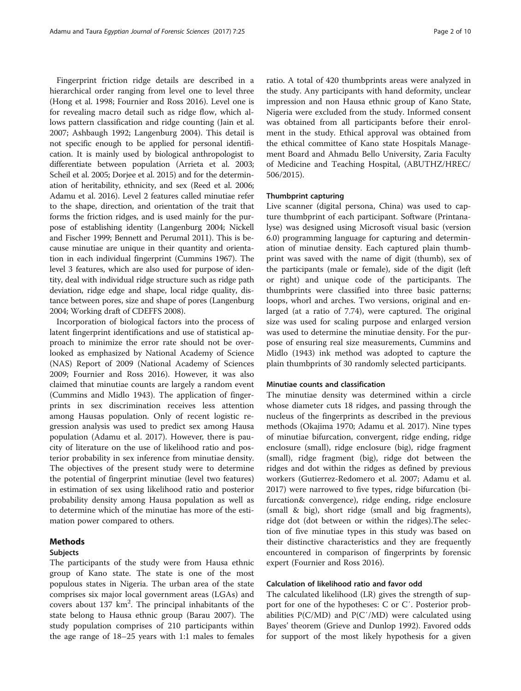Fingerprint friction ridge details are described in a hierarchical order ranging from level one to level three (Hong et al. [1998;](#page-9-0) Fournier and Ross [2016\)](#page-9-0). Level one is for revealing macro detail such as ridge flow, which allows pattern classification and ridge counting (Jain et al. [2007](#page-9-0); Ashbaugh [1992](#page-9-0); Langenburg [2004](#page-9-0)). This detail is not specific enough to be applied for personal identification. It is mainly used by biological anthropologist to differentiate between population (Arrieta et al. [2003](#page-9-0); Scheil et al. [2005;](#page-9-0) Dorjee et al. [2015](#page-9-0)) and for the determination of heritability, ethnicity, and sex (Reed et al. [2006](#page-9-0); Adamu et al. [2016\)](#page-9-0). Level 2 features called minutiae refer to the shape, direction, and orientation of the trait that forms the friction ridges, and is used mainly for the purpose of establishing identity (Langenburg [2004](#page-9-0); Nickell and Fischer [1999;](#page-9-0) Bennett and Perumal [2011](#page-9-0)). This is because minutiae are unique in their quantity and orientation in each individual fingerprint (Cummins [1967\)](#page-9-0). The level 3 features, which are also used for purpose of identity, deal with individual ridge structure such as ridge path deviation, ridge edge and shape, local ridge quality, distance between pores, size and shape of pores (Langenburg [2004;](#page-9-0) Working draft of CDEFFS [2008\)](#page-9-0).

Incorporation of biological factors into the process of latent fingerprint identifications and use of statistical approach to minimize the error rate should not be overlooked as emphasized by National Academy of Science (NAS) Report of 2009 (National Academy of Sciences [2009](#page-9-0); Fournier and Ross [2016\)](#page-9-0). However, it was also claimed that minutiae counts are largely a random event (Cummins and Midlo [1943\)](#page-9-0). The application of fingerprints in sex discrimination receives less attention among Hausas population. Only of recent logistic regression analysis was used to predict sex among Hausa population (Adamu et al. [2017\)](#page-9-0). However, there is paucity of literature on the use of likelihood ratio and posterior probability in sex inference from minutiae density. The objectives of the present study were to determine the potential of fingerprint minutiae (level two features) in estimation of sex using likelihood ratio and posterior probability density among Hausa population as well as to determine which of the minutiae has more of the estimation power compared to others.

# Methods

# Subjects

The participants of the study were from Hausa ethnic group of Kano state. The state is one of the most populous states in Nigeria. The urban area of the state comprises six major local government areas (LGAs) and covers about  $137 \text{ km}^2$ . The principal inhabitants of the state belong to Hausa ethnic group (Barau [2007](#page-9-0)). The study population comprises of 210 participants within the age range of 18–25 years with 1:1 males to females

ratio. A total of 420 thumbprints areas were analyzed in the study. Any participants with hand deformity, unclear impression and non Hausa ethnic group of Kano State, Nigeria were excluded from the study. Informed consent was obtained from all participants before their enrolment in the study. Ethical approval was obtained from the ethical committee of Kano state Hospitals Management Board and Ahmadu Bello University, Zaria Faculty of Medicine and Teaching Hospital, (ABUTHZ/HREC/ 506/2015).

## Thumbprint capturing

Live scanner (digital persona, China) was used to capture thumbprint of each participant. Software (Printanalyse) was designed using Microsoft visual basic (version 6.0) programming language for capturing and determination of minutiae density. Each captured plain thumbprint was saved with the name of digit (thumb), sex of the participants (male or female), side of the digit (left or right) and unique code of the participants. The thumbprints were classified into three basic patterns; loops, whorl and arches. Two versions, original and enlarged (at a ratio of 7.74), were captured. The original size was used for scaling purpose and enlarged version was used to determine the minutiae density. For the purpose of ensuring real size measurements, Cummins and Midlo [\(1943\)](#page-9-0) ink method was adopted to capture the plain thumbprints of 30 randomly selected participants.

### Minutiae counts and classification

The minutiae density was determined within a circle whose diameter cuts 18 ridges, and passing through the nucleus of the fingerprints as described in the previous methods (Okajima [1970;](#page-9-0) Adamu et al. [2017\)](#page-9-0). Nine types of minutiae bifurcation, convergent, ridge ending, ridge enclosure (small), ridge enclosure (big), ridge fragment (small), ridge fragment (big), ridge dot between the ridges and dot within the ridges as defined by previous workers (Gutierrez-Redomero et al. [2007](#page-9-0); Adamu et al. [2017](#page-9-0)) were narrowed to five types, ridge bifurcation (bifurcation& convergence), ridge ending, ridge enclosure (small & big), short ridge (small and big fragments), ridge dot (dot between or within the ridges).The selection of five minutiae types in this study was based on their distinctive characteristics and they are frequently encountered in comparison of fingerprints by forensic expert (Fournier and Ross [2016\)](#page-9-0).

# Calculation of likelihood ratio and favor odd

The calculated likelihood (LR) gives the strength of support for one of the hypotheses: C or C′. Posterior probabilities  $P(C/MD)$  and  $P(C'/MD)$  were calculated using Bayes' theorem (Grieve and Dunlop [1992](#page-9-0)). Favored odds for support of the most likely hypothesis for a given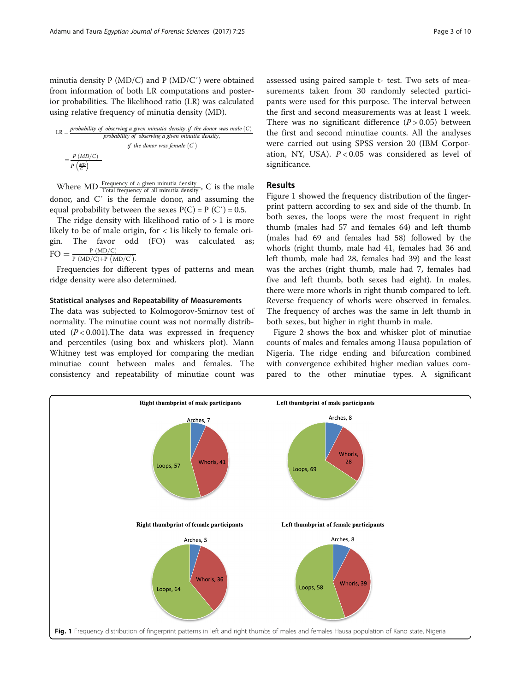minutia density P (MD/C) and P (MD/C′) were obtained from information of both LR computations and posterior probabilities. The likelihood ratio (LR) was calculated using relative frequency of minutia density (MD).

| $LR =$ probability of observing a given minutia density, if the donor was male (C) |  |  |  |  |  |  |  |  |
|------------------------------------------------------------------------------------|--|--|--|--|--|--|--|--|
| probability of observing a given minutia density,                                  |  |  |  |  |  |  |  |  |
| if the donor was female $(C)$                                                      |  |  |  |  |  |  |  |  |
| P(MD/C)                                                                            |  |  |  |  |  |  |  |  |
| $P\left(\frac{MD}{C}\right)$                                                       |  |  |  |  |  |  |  |  |

Where MD  $\frac{\text{Frequency of a given minutia density}}{\text{Total frequency of all minutia density}}$ , C is the male donor, and C′ is the female donor, and assuming the equal probability between the sexes  $P(C) = P(C') = 0.5$ .

The ridge density with likelihood ratio of  $> 1$  is more likely to be of male origin, for  $\langle$  1 is likely to female origin. The favor odd (FO) was calculated as;  $\text{FO} = \frac{\text{P (MD/C)}}{\text{P (MD/C)+P (MD/C)}}$ .

Frequencies for different types of patterns and mean ridge density were also determined.

### Statistical analyses and Repeatability of Measurements

The data was subjected to Kolmogorov-Smirnov test of normality. The minutiae count was not normally distributed  $(P < 0.001)$ . The data was expressed in frequency and percentiles (using box and whiskers plot). Mann Whitney test was employed for comparing the median minutiae count between males and females. The consistency and repeatability of minutiae count was assessed using paired sample t- test. Two sets of measurements taken from 30 randomly selected participants were used for this purpose. The interval between the first and second measurements was at least 1 week. There was no significant difference  $(P > 0.05)$  between the first and second minutiae counts. All the analyses were carried out using SPSS version 20 (IBM Corporation, NY, USA).  $P < 0.05$  was considered as level of significance.

# Results

Figure 1 showed the frequency distribution of the fingerprint pattern according to sex and side of the thumb. In both sexes, the loops were the most frequent in right thumb (males had 57 and females 64) and left thumb (males had 69 and females had 58) followed by the whorls (right thumb, male had 41, females had 36 and left thumb, male had 28, females had 39) and the least was the arches (right thumb, male had 7, females had five and left thumb, both sexes had eight). In males, there were more whorls in right thumb compared to left. Reverse frequency of whorls were observed in females. The frequency of arches was the same in left thumb in both sexes, but higher in right thumb in male.

Figure [2](#page-3-0) shows the box and whisker plot of minutiae counts of males and females among Hausa population of Nigeria. The ridge ending and bifurcation combined with convergence exhibited higher median values compared to the other minutiae types. A significant

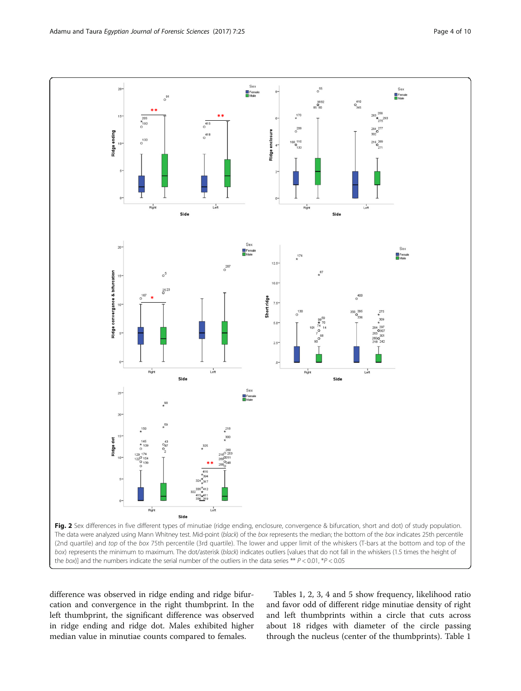<span id="page-3-0"></span>

difference was observed in ridge ending and ridge bifurcation and convergence in the right thumbprint. In the left thumbprint, the significant difference was observed in ridge ending and ridge dot. Males exhibited higher median value in minutiae counts compared to females.

Tables [1,](#page-4-0) [2,](#page-5-0) [3](#page-6-0), [4](#page-6-0) and [5](#page-7-0) show frequency, likelihood ratio and favor odd of different ridge minutiae density of right and left thumbprints within a circle that cuts across about 18 ridges with diameter of the circle passing through the nucleus (center of the thumbprints). Table [1](#page-4-0)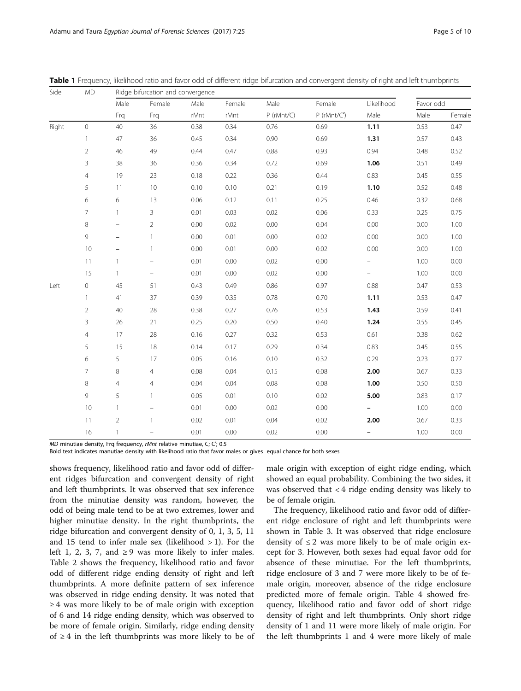|  | Page 5 of 10 |  |  |  |
|--|--------------|--|--|--|
|--|--------------|--|--|--|

| Side  | MD             |                   | Ridge bifurcation and convergence |      |        |              |               |                   |           |        |
|-------|----------------|-------------------|-----------------------------------|------|--------|--------------|---------------|-------------------|-----------|--------|
|       |                | Male              | Female                            | Male | Female | Male         | Female        | Likelihood        | Favor odd |        |
|       |                | Frq               | Frq                               | rMnt | rMnt   | $P$ (rMnt/C) | $P$ (rMnt/C') | Male              | Male      | Female |
| Right | $\mathbb O$    | 40                | 36                                | 0.38 | 0.34   | 0.76         | 0.69          | 1.11              | 0.53      | 0.47   |
|       | 1              | $47\,$            | 36                                | 0.45 | 0.34   | 0.90         | 0.69          | 1.31              | 0.57      | 0.43   |
|       | $\overline{2}$ | 46                | 49                                | 0.44 | 0.47   | 0.88         | 0.93          | 0.94              | 0.48      | 0.52   |
|       | 3              | 38                | 36                                | 0.36 | 0.34   | 0.72         | 0.69          | 1.06              | 0.51      | 0.49   |
|       | 4              | 19                | 23                                | 0.18 | 0.22   | 0.36         | 0.44          | 0.83              | 0.45      | 0.55   |
|       | 5              | 11                | 10                                | 0.10 | 0.10   | 0.21         | 0.19          | 1.10              | 0.52      | 0.48   |
|       | 6              | $\,$ 6 $\,$       | 13                                | 0.06 | 0.12   | 0.11         | 0.25          | 0.46              | 0.32      | 0.68   |
|       | $\overline{7}$ | $\mathbf{1}$      | 3                                 | 0.01 | 0.03   | 0.02         | 0.06          | 0.33              | 0.25      | 0.75   |
|       | 8              | -                 | $\overline{c}$                    | 0.00 | 0.02   | 0.00         | 0.04          | 0.00              | 0.00      | 1.00   |
|       | 9              | $\qquad \qquad -$ | $\mathbf{1}$                      | 0.00 | 0.01   | 0.00         | 0.02          | 0.00              | 0.00      | 1.00   |
|       | 10             | $\qquad \qquad -$ | $\mathbf{1}$                      | 0.00 | 0.01   | 0.00         | 0.02          | 0.00              | 0.00      | 1.00   |
|       | 11             | $\mathbf{1}$      | $\overline{\phantom{0}}$          | 0.01 | 0.00   | 0.02         | 0.00          |                   | 1.00      | 0.00   |
|       | 15             | $\mathbf{1}$      | $\overline{\phantom{0}}$          | 0.01 | 0.00   | 0.02         | 0.00          | -                 | 1.00      | 0.00   |
| Left  | 0              | 45                | 51                                | 0.43 | 0.49   | 0.86         | 0.97          | 0.88              | 0.47      | 0.53   |
|       | $\mathbf{1}$   | 41                | 37                                | 0.39 | 0.35   | 0.78         | 0.70          | 1.11              | 0.53      | 0.47   |
|       | $\sqrt{2}$     | 40                | 28                                | 0.38 | 0.27   | 0.76         | 0.53          | 1.43              | 0.59      | 0.41   |
|       | $\overline{3}$ | 26                | 21                                | 0.25 | 0.20   | 0.50         | 0.40          | 1.24              | 0.55      | 0.45   |
|       | 4              | 17                | 28                                | 0.16 | 0.27   | 0.32         | 0.53          | 0.61              | 0.38      | 0.62   |
|       | 5              | 15                | 18                                | 0.14 | 0.17   | 0.29         | 0.34          | 0.83              | 0.45      | 0.55   |
|       | 6              | 5                 | 17                                | 0.05 | 0.16   | 0.10         | 0.32          | 0.29              | 0.23      | 0.77   |
|       | $\overline{7}$ | $\,8\,$           | $\overline{4}$                    | 0.08 | 0.04   | 0.15         | 0.08          | 2.00              | 0.67      | 0.33   |
|       | 8              | $\overline{4}$    | 4                                 | 0.04 | 0.04   | 0.08         | 0.08          | 1.00              | 0.50      | 0.50   |
|       | 9              | 5                 | $\mathbf{1}$                      | 0.05 | 0.01   | 0.10         | 0.02          | 5.00              | 0.83      | 0.17   |
|       | 10             | $\mathbf{1}$      | $\overline{\phantom{0}}$          | 0.01 | 0.00   | 0.02         | 0.00          | $\qquad \qquad -$ | 1.00      | 0.00   |
|       | 11             | $\overline{2}$    | 1                                 | 0.02 | 0.01   | 0.04         | 0.02          | 2.00              | 0.67      | 0.33   |
|       | 16             | 1                 | $\overline{\phantom{0}}$          | 0.01 | 0.00   | 0.02         | 0.00          | $\qquad \qquad -$ | 1.00      | 0.00   |

<span id="page-4-0"></span>Table 1 Frequency, likelihood ratio and favor odd of different ridge bifurcation and convergent density of right and left thumbprints

Bold text indicates manutiae density with likelihood ratio that favor males or gives equal chance for both sexes

shows frequency, likelihood ratio and favor odd of different ridges bifurcation and convergent density of right and left thumbprints. It was observed that sex inference from the minutiae density was random, however, the odd of being male tend to be at two extremes, lower and higher minutiae density. In the right thumbprints, the ridge bifurcation and convergent density of 0, 1, 3, 5, 11 and 15 tend to infer male sex (likelihood  $> 1$ ). For the left 1, 2, 3, 7, and  $\geq$  9 was more likely to infer males. Table [2](#page-5-0) shows the frequency, likelihood ratio and favor odd of different ridge ending density of right and left thumbprints. A more definite pattern of sex inference was observed in ridge ending density. It was noted that ≥ 4 was more likely to be of male origin with exception of 6 and 14 ridge ending density, which was observed to be more of female origin. Similarly, ridge ending density of ≥4 in the left thumbprints was more likely to be of

male origin with exception of eight ridge ending, which showed an equal probability. Combining the two sides, it was observed that < 4 ridge ending density was likely to be of female origin.

The frequency, likelihood ratio and favor odd of different ridge enclosure of right and left thumbprints were shown in Table [3](#page-6-0). It was observed that ridge enclosure density of  $\leq 2$  was more likely to be of male origin except for 3. However, both sexes had equal favor odd for absence of these minutiae. For the left thumbprints, ridge enclosure of 3 and 7 were more likely to be of female origin, moreover, absence of the ridge enclosure predicted more of female origin. Table [4](#page-6-0) showed frequency, likelihood ratio and favor odd of short ridge density of right and left thumbprints. Only short ridge density of 1 and 11 were more likely of male origin. For the left thumbprints 1 and 4 were more likely of male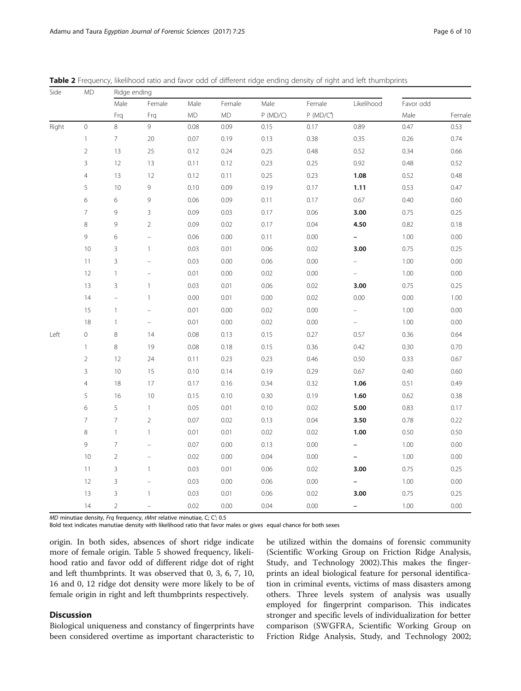| Side  | $\mathsf{MD}$       | Ridge ending   |                          |      |           |            |           |                          |           |        |  |
|-------|---------------------|----------------|--------------------------|------|-----------|------------|-----------|--------------------------|-----------|--------|--|
|       |                     | Male           | Female                   | Male | Female    | Male       | Female    | Likelihood               | Favor odd |        |  |
|       |                     | Frq            | Frq                      | MD   | <b>MD</b> | $P$ (MD/C) | P (MD/C') |                          | Male      | Female |  |
| Right | $\mathbf 0$         | 8              | 9                        | 0.08 | 0.09      | 0.15       | 0.17      | 0.89                     | 0.47      | 0.53   |  |
|       | $\mathbf{1}$        | $\overline{7}$ | 20                       | 0.07 | 0.19      | 0.13       | 0.38      | 0.35                     | 0.26      | 0.74   |  |
|       | $\sqrt{2}$          | 13             | 25                       | 0.12 | 0.24      | 0.25       | 0.48      | 0.52                     | 0.34      | 0.66   |  |
|       | $\mathsf 3$         | 12             | 13                       | 0.11 | 0.12      | 0.23       | 0.25      | 0.92                     | 0.48      | 0.52   |  |
|       | $\overline{4}$      | 13             | 12                       | 0.12 | 0.11      | 0.25       | 0.23      | 1.08                     | 0.52      | 0.48   |  |
|       | 5                   | 10             | 9                        | 0.10 | 0.09      | 0.19       | 0.17      | 1.11                     | 0.53      | 0.47   |  |
|       | 6                   | $\,$ 6 $\,$    | 9                        | 0.06 | 0.09      | 0.11       | 0.17      | 0.67                     | 0.40      | 0.60   |  |
|       | $\overline{7}$      | $\mathsf 9$    | 3                        | 0.09 | 0.03      | 0.17       | 0.06      | 3.00                     | 0.75      | 0.25   |  |
|       | $\,8\,$             | 9              | $\overline{2}$           | 0.09 | 0.02      | 0.17       | 0.04      | 4.50                     | 0.82      | 0.18   |  |
|       | $\mathsf g$         | $\,$ 6 $\,$    |                          | 0.06 | 0.00      | 0.11       | 0.00      | $\overline{\phantom{0}}$ | 1.00      | 0.00   |  |
|       | 10                  | 3              | $\mathbf{1}$             | 0.03 | 0.01      | 0.06       | 0.02      | 3.00                     | 0.75      | 0.25   |  |
|       | 11                  | $\mathsf 3$    |                          | 0.03 | 0.00      | 0.06       | 0.00      | $\equiv$                 | 1.00      | 0.00   |  |
|       | 12                  | $\mathbf{1}$   |                          | 0.01 | 0.00      | 0.02       | 0.00      |                          | 1.00      | 0.00   |  |
|       | 13                  | 3              | $\mathbf{1}$             | 0.03 | 0.01      | 0.06       | 0.02      | 3.00                     | 0.75      | 0.25   |  |
|       | 14                  | $\equiv$       | $\mathbf{1}$             | 0.00 | 0.01      | 0.00       | 0.02      | 0.00                     | 0.00      | 1.00   |  |
|       | 15                  | $\mathbf{1}$   |                          | 0.01 | 0.00      | 0.02       | 0.00      |                          | 1.00      | 0.00   |  |
|       | 18                  | $\mathbf{1}$   | $\equiv$                 | 0.01 | 0.00      | 0.02       | 0.00      |                          | 1.00      | 0.00   |  |
| Left  | $\mathsf{O}\xspace$ | $\,8\,$        | 14                       | 0.08 | 0.13      | 0.15       | 0.27      | 0.57                     | 0.36      | 0.64   |  |
|       | $\mathbf{1}$        | $\,8\,$        | 19                       | 0.08 | 0.18      | 0.15       | 0.36      | 0.42                     | 0.30      | 0.70   |  |
|       | $\sqrt{2}$          | 12             | 24                       | 0.11 | 0.23      | 0.23       | 0.46      | 0.50                     | 0.33      | 0.67   |  |
|       | $\mathsf 3$         | 10             | 15                       | 0.10 | 0.14      | 0.19       | 0.29      | 0.67                     | 0.40      | 0.60   |  |
|       | $\overline{4}$      | 18             | 17                       | 0.17 | 0.16      | 0.34       | 0.32      | 1.06                     | 0.51      | 0.49   |  |
|       | 5                   | 16             | 10                       | 0.15 | 0.10      | 0.30       | 0.19      | 1.60                     | 0.62      | 0.38   |  |
|       | 6                   | 5              | $\mathbf{1}$             | 0.05 | 0.01      | 0.10       | 0.02      | 5.00                     | 0.83      | 0.17   |  |
|       | $\overline{7}$      | 7              | $\overline{2}$           | 0.07 | 0.02      | 0.13       | 0.04      | 3.50                     | 0.78      | 0.22   |  |
|       | $\,8\,$             | $\mathbf{1}$   | $\mathbf{1}$             | 0.01 | 0.01      | 0.02       | 0.02      | 1.00                     | 0.50      | 0.50   |  |
|       | $\mathsf{9}$        | $\overline{7}$ |                          | 0.07 | 0.00      | 0.13       | 0.00      | $\overline{\phantom{a}}$ | 1.00      | 0.00   |  |
|       | 10                  | $\overline{2}$ | $\overline{\phantom{0}}$ | 0.02 | 0.00      | 0.04       | 0.00      |                          | 1.00      | 0.00   |  |
|       | 11                  | $\mathsf 3$    | $\mathbf{1}$             | 0.03 | 0.01      | 0.06       | 0.02      | 3.00                     | 0.75      | 0.25   |  |
|       | 12                  | $\mathsf 3$    |                          | 0.03 | 0.00      | 0.06       | 0.00      | $\overline{\phantom{0}}$ | 1.00      | 0.00   |  |
|       | 13                  | $\mathsf 3$    | $\mathbf{1}$             | 0.03 | 0.01      | 0.06       | 0.02      | 3.00                     | 0.75      | 0.25   |  |
|       | 14                  | $\overline{2}$ | $\equiv$                 | 0.02 | 0.00      | 0.04       | 0.00      | $\qquad \qquad -$        | 1.00      | 0.00   |  |

<span id="page-5-0"></span>Table 2 Frequency, likelihood ratio and favor odd of different ridge ending density of right and left thumbprints

Bold text indicates manutiae density with likelihood ratio that favor males or gives equal chance for both sexes

origin. In both sides, absences of short ridge indicate more of female origin. Table [5](#page-7-0) showed frequency, likelihood ratio and favor odd of different ridge dot of right and left thumbprints. It was observed that 0, 3, 6, 7, 10, 16 and 0, 12 ridge dot density were more likely to be of female origin in right and left thumbprints respectively.

# Discussion

Biological uniqueness and constancy of fingerprints have been considered overtime as important characteristic to be utilized within the domains of forensic community (Scientific Working Group on Friction Ridge Analysis, Study, and Technology [2002](#page-9-0)).This makes the fingerprints an ideal biological feature for personal identification in criminal events, victims of mass disasters among others. Three levels system of analysis was usually employed for fingerprint comparison. This indicates stronger and specific levels of individualization for better comparison (SWGFRA, Scientific Working Group on Friction Ridge Analysis, Study, and Technology [2002](#page-9-0);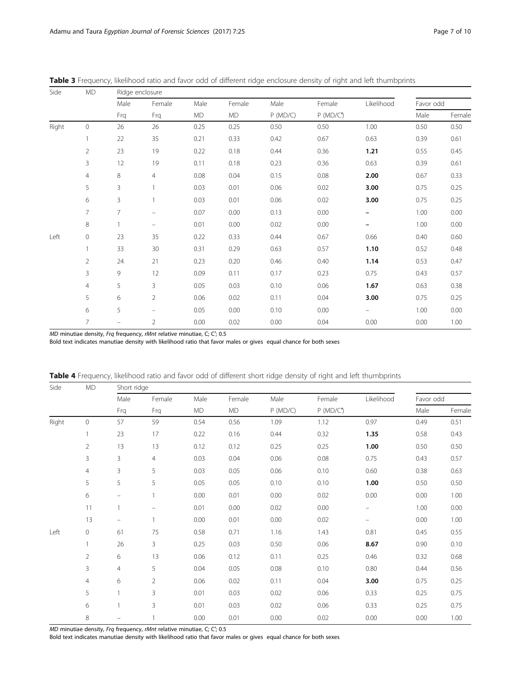| Page 7 of 10 |  |  |
|--------------|--|--|
|              |  |  |

| Side  | MD                  | Ridge enclosure   |                          |           |           |            |          |                          |           |        |
|-------|---------------------|-------------------|--------------------------|-----------|-----------|------------|----------|--------------------------|-----------|--------|
|       |                     | Male              | Female                   | Male      | Female    | Male       | Female   | Likelihood               | Favor odd |        |
|       |                     | Frq               | Frq                      | <b>MD</b> | <b>MD</b> | $P$ (MD/C) | P(MD/C') |                          | Male      | Female |
| Right | $\mathbf 0$         | 26                | 26                       | 0.25      | 0.25      | 0.50       | 0.50     | 1.00                     | 0.50      | 0.50   |
|       | $\mathbf{1}$        | 22                | 35                       | 0.21      | 0.33      | 0.42       | 0.67     | 0.63                     | 0.39      | 0.61   |
|       | $\overline{2}$      | 23                | 19                       | 0.22      | 0.18      | 0.44       | 0.36     | 1.21                     | 0.55      | 0.45   |
|       | 3                   | 12                | 19                       | 0.11      | 0.18      | 0.23       | 0.36     | 0.63                     | 0.39      | 0.61   |
|       | $\overline{4}$      | 8                 | $\overline{4}$           | 0.08      | 0.04      | 0.15       | 0.08     | 2.00                     | 0.67      | 0.33   |
|       | 5                   | 3                 |                          | 0.03      | 0.01      | 0.06       | 0.02     | 3.00                     | 0.75      | 0.25   |
|       | 6                   | 3                 |                          | 0.03      | 0.01      | 0.06       | 0.02     | 3.00                     | 0.75      | 0.25   |
|       | $\overline{7}$      | $\overline{7}$    | $\overline{\phantom{0}}$ | 0.07      | 0.00      | 0.13       | 0.00     | $\overline{\phantom{a}}$ | 1.00      | 0.00   |
|       | 8                   |                   | $\overline{\phantom{0}}$ | 0.01      | 0.00      | 0.02       | 0.00     | $\qquad \qquad -$        | 1.00      | 0.00   |
| Left  | $\mathsf{O}\xspace$ | 23                | 35                       | 0.22      | 0.33      | 0.44       | 0.67     | 0.66                     | 0.40      | 0.60   |
|       | 1                   | 33                | 30                       | 0.31      | 0.29      | 0.63       | 0.57     | 1.10                     | 0.52      | 0.48   |
|       | $\overline{2}$      | 24                | 21                       | 0.23      | 0.20      | 0.46       | 0.40     | 1.14                     | 0.53      | 0.47   |
|       | 3                   | 9                 | 12                       | 0.09      | 0.11      | 0.17       | 0.23     | 0.75                     | 0.43      | 0.57   |
|       | $\overline{4}$      | 5                 | 3                        | 0.05      | 0.03      | 0.10       | 0.06     | 1.67                     | 0.63      | 0.38   |
|       | 5                   | 6                 | $\overline{2}$           | 0.06      | 0.02      | 0.11       | 0.04     | 3.00                     | 0.75      | 0.25   |
|       | 6                   | 5                 | $\overline{\phantom{m}}$ | 0.05      | 0.00      | 0.10       | 0.00     | -                        | 1.00      | 0.00   |
|       | $\overline{7}$      | $\qquad \qquad -$ | 2                        | 0.00      | 0.02      | 0.00       | 0.04     | 0.00                     | 0.00      | 1.00   |

<span id="page-6-0"></span>Table 3 Frequency, likelihood ratio and favor odd of different ridge enclosure density of right and left thumbprints

Bold text indicates manutiae density with likelihood ratio that favor males or gives equal chance for both sexes

|      |    | Table 4 Frequency, likelihood ratio and favor odd of different short ridge density of right and left thumbprints |  |
|------|----|------------------------------------------------------------------------------------------------------------------|--|
| Side | MD | Short ridge                                                                                                      |  |

|       |         | . . <b>.</b> <u>.</u> |                          |        |      |            |               |                          |            |           |  |
|-------|---------|-----------------------|--------------------------|--------|------|------------|---------------|--------------------------|------------|-----------|--|
|       |         |                       | Male                     | Female | Male | Female     | Male          | Female                   | Likelihood | Favor odd |  |
|       |         | Frq                   | Frq                      | MD     | MD   | $P$ (MD/C) | $P$ (MD/C $)$ |                          | Male       | Female    |  |
| Right | $\circ$ | 57                    | 59                       | 0.54   | 0.56 | 1.09       | 1.12          | 0.97                     | 0.49       | 0.51      |  |
|       |         | 23                    | 17                       | 0.22   | 0.16 | 0.44       | 0.32          | 1.35                     | 0.58       | 0.43      |  |
|       | 2       | 13                    | 13                       | 0.12   | 0.12 | 0.25       | 0.25          | 1.00                     | 0.50       | 0.50      |  |
|       | 3       | 3                     | $\overline{4}$           | 0.03   | 0.04 | 0.06       | 0.08          | 0.75                     | 0.43       | 0.57      |  |
|       | 4       | 3                     | 5                        | 0.03   | 0.05 | 0.06       | 0.10          | 0.60                     | 0.38       | 0.63      |  |
|       | 5       | 5                     | 5                        | 0.05   | 0.05 | 0.10       | 0.10          | 1.00                     | 0.50       | 0.50      |  |
|       | 6       | -                     | 1                        | 0.00   | 0.01 | 0.00       | 0.02          | 0.00                     | 0.00       | 1.00      |  |
|       | 11      | $\mathbf{1}$          | $\overline{\phantom{0}}$ | 0.01   | 0.00 | 0.02       | 0.00          | $\overline{\phantom{0}}$ | 1.00       | 0.00      |  |
|       | 13      | $\qquad \qquad -$     | 1                        | 0.00   | 0.01 | 0.00       | 0.02          | -                        | 0.00       | 1.00      |  |
| Left  | 0       | 61                    | 75                       | 0.58   | 0.71 | 1.16       | 1.43          | 0.81                     | 0.45       | 0.55      |  |
|       |         | 26                    | 3                        | 0.25   | 0.03 | 0.50       | 0.06          | 8.67                     | 0.90       | 0.10      |  |
|       | 2       | 6                     | 13                       | 0.06   | 0.12 | 0.11       | 0.25          | 0.46                     | 0.32       | 0.68      |  |
|       | 3       | $\overline{4}$        | 5                        | 0.04   | 0.05 | 0.08       | 0.10          | 0.80                     | 0.44       | 0.56      |  |
|       | 4       | 6                     | $\overline{2}$           | 0.06   | 0.02 | 0.11       | 0.04          | 3.00                     | 0.75       | 0.25      |  |
|       | 5       |                       | 3                        | 0.01   | 0.03 | 0.02       | 0.06          | 0.33                     | 0.25       | 0.75      |  |
|       | 6       |                       | 3                        | 0.01   | 0.03 | 0.02       | 0.06          | 0.33                     | 0.25       | 0.75      |  |
|       | 8       |                       | 1                        | 0.00   | 0.01 | 0.00       | 0.02          | 0.00                     | 0.00       | 1.00      |  |

MD minutiae density, Frq frequency, rMnt relative minutiae, C; C′; 0.5

Bold text indicates manutiae density with likelihood ratio that favor males or gives equal chance for both sexes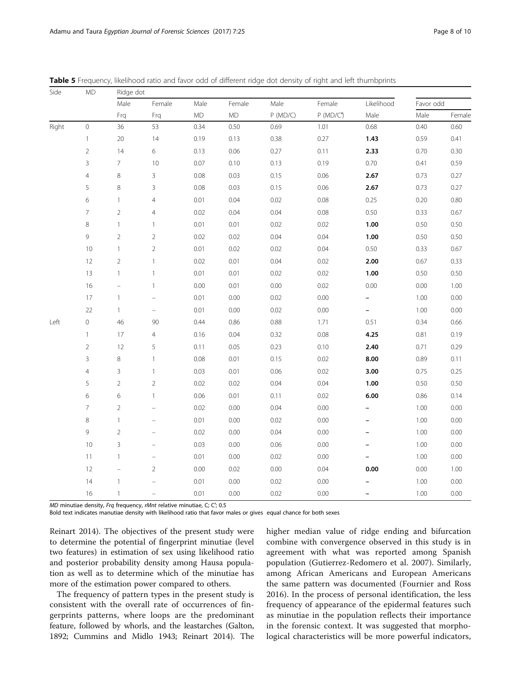| Side  | <b>MD</b>           | Ridge dot      |                          |           |           |            |         |                          |           |        |
|-------|---------------------|----------------|--------------------------|-----------|-----------|------------|---------|--------------------------|-----------|--------|
|       |                     | Male           | Female                   | Male      | Female    | Male       | Female  | Likelihood               | Favor odd |        |
|       |                     | Frq            | Frq                      | <b>MD</b> | <b>MD</b> | $P$ (MD/C) | P(MD/C) | Male                     | Male      | Female |
| Right | $\mathsf{O}\xspace$ | 36             | 53                       | 0.34      | 0.50      | 0.69       | 1.01    | 0.68                     | 0.40      | 0.60   |
|       | $\mathbf{1}$        | $20\,$         | 14                       | 0.19      | 0.13      | 0.38       | 0.27    | 1.43                     | 0.59      | 0.41   |
|       | $\overline{2}$      | 14             | 6                        | 0.13      | 0.06      | 0.27       | 0.11    | 2.33                     | 0.70      | 0.30   |
|       | 3                   | $\overline{7}$ | 10                       | 0.07      | 0.10      | 0.13       | 0.19    | 0.70                     | 0.41      | 0.59   |
|       | 4                   | $\,8\,$        | 3                        | 0.08      | 0.03      | 0.15       | 0.06    | 2.67                     | 0.73      | 0.27   |
|       | 5                   | 8              | $\mathsf 3$              | 0.08      | 0.03      | 0.15       | 0.06    | 2.67                     | 0.73      | 0.27   |
|       | 6                   | $\mathbb{1}$   | $\overline{4}$           | 0.01      | 0.04      | 0.02       | 0.08    | 0.25                     | 0.20      | 0.80   |
|       | 7                   | $\overline{2}$ | $\overline{4}$           | 0.02      | 0.04      | 0.04       | 0.08    | 0.50                     | 0.33      | 0.67   |
|       | 8                   | $\mathbb{1}$   | $\mathbf{1}$             | 0.01      | 0.01      | 0.02       | 0.02    | 1.00                     | 0.50      | 0.50   |
|       | 9                   | $\mathbf 2$    | $\sqrt{2}$               | 0.02      | 0.02      | 0.04       | 0.04    | 1.00                     | 0.50      | 0.50   |
|       | 10                  | $\mathbb{1}$   | $\overline{2}$           | 0.01      | 0.02      | 0.02       | 0.04    | 0.50                     | 0.33      | 0.67   |
|       | 12                  | $\overline{2}$ | $\mathbf{1}$             | 0.02      | 0.01      | 0.04       | 0.02    | 2.00                     | 0.67      | 0.33   |
|       | 13                  | $\mathbb{1}$   | $\mathbf{1}$             | 0.01      | 0.01      | 0.02       | 0.02    | 1.00                     | 0.50      | 0.50   |
|       | 16                  | $\overline{a}$ | $\mathbf{1}$             | 0.00      | 0.01      | 0.00       | 0.02    | 0.00                     | 0.00      | 1.00   |
|       | 17                  | $\mathbf{1}$   | $\overline{\phantom{a}}$ | 0.01      | 0.00      | 0.02       | 0.00    | $\overline{\phantom{0}}$ | 1.00      | 0.00   |
|       | 22                  | $\mathbf{1}$   | $\equiv$                 | 0.01      | 0.00      | 0.02       | 0.00    | $\qquad \qquad -$        | 1.00      | 0.00   |
| Left  | 0                   | 46             | 90                       | 0.44      | 0.86      | 0.88       | 1.71    | 0.51                     | 0.34      | 0.66   |
|       | $\mathbf{1}$        | 17             | $\overline{4}$           | 0.16      | 0.04      | 0.32       | 0.08    | 4.25                     | 0.81      | 0.19   |
|       | $\overline{2}$      | 12             | 5                        | 0.11      | 0.05      | 0.23       | 0.10    | 2.40                     | 0.71      | 0.29   |
|       | 3                   | 8              | $\mathbf{1}$             | 0.08      | 0.01      | 0.15       | 0.02    | 8.00                     | 0.89      | 0.11   |
|       | $\overline{4}$      | 3              | $\mathbf{1}$             | 0.03      | 0.01      | 0.06       | 0.02    | 3.00                     | 0.75      | 0.25   |
|       | 5                   | $\overline{2}$ | $\overline{2}$           | 0.02      | 0.02      | 0.04       | 0.04    | 1.00                     | 0.50      | 0.50   |
|       | 6                   | 6              | $\mathbf{1}$             | 0.06      | 0.01      | 0.11       | 0.02    | 6.00                     | 0.86      | 0.14   |
|       | 7                   | $\overline{2}$ | $\overline{\phantom{a}}$ | 0.02      | 0.00      | 0.04       | 0.00    | $\overline{\phantom{0}}$ | 1.00      | 0.00   |
|       | 8                   | $\mathbb{1}$   |                          | 0.01      | 0.00      | 0.02       | 0.00    | $\overline{\phantom{0}}$ | 1.00      | 0.00   |
|       | 9                   | $\sqrt{2}$     |                          | 0.02      | 0.00      | 0.04       | 0.00    |                          | 1.00      | 0.00   |
|       | 10                  | 3              |                          | 0.03      | 0.00      | 0.06       | 0.00    |                          | 1.00      | 0.00   |
|       | 11                  | $\mathbf{1}$   |                          | 0.01      | 0.00      | 0.02       | 0.00    |                          | 1.00      | 0.00   |
|       | 12                  | $\overline{a}$ | $\overline{2}$           | 0.00      | 0.02      | 0.00       | 0.04    | 0.00                     | 0.00      | 1.00   |
|       | 14                  | $\mathbb{1}$   |                          | 0.01      | 0.00      | 0.02       | 0.00    |                          | 1.00      | 0.00   |
|       | 16                  | 1              | $\overline{\phantom{a}}$ | 0.01      | 0.00      | 0.02       | 0.00    | $\overline{\phantom{0}}$ | 1.00      | 0.00   |

<span id="page-7-0"></span>Table 5 Frequency, likelihood ratio and favor odd of different ridge dot density of right and left thumbprints

Bold text indicates manutiae density with likelihood ratio that favor males or gives equal chance for both sexes

Reinart [2014\)](#page-9-0). The objectives of the present study were to determine the potential of fingerprint minutiae (level two features) in estimation of sex using likelihood ratio and posterior probability density among Hausa population as well as to determine which of the minutiae has more of the estimation power compared to others.

The frequency of pattern types in the present study is consistent with the overall rate of occurrences of fingerprints patterns, where loops are the predominant feature, followed by whorls, and the leastarches (Galton, [1892;](#page-9-0) Cummins and Midlo [1943](#page-9-0); Reinart [2014](#page-9-0)). The

higher median value of ridge ending and bifurcation combine with convergence observed in this study is in agreement with what was reported among Spanish population (Gutierrez-Redomero et al. [2007\)](#page-9-0). Similarly, among African Americans and European Americans the same pattern was documented (Fournier and Ross [2016\)](#page-9-0). In the process of personal identification, the less frequency of appearance of the epidermal features such as minutiae in the population reflects their importance in the forensic context. It was suggested that morphological characteristics will be more powerful indicators,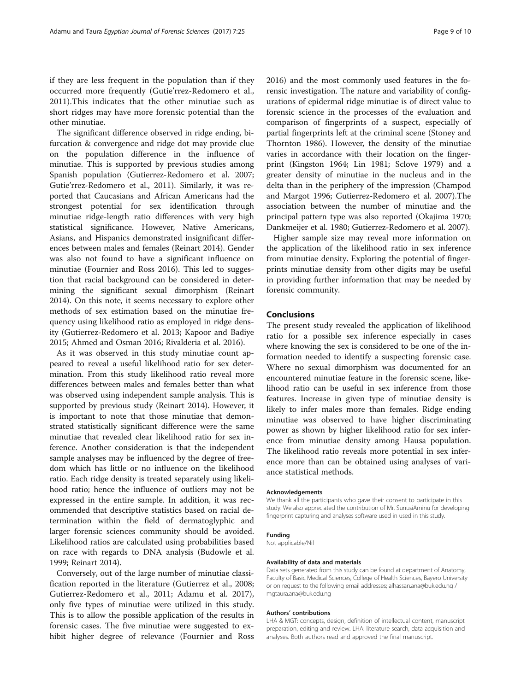if they are less frequent in the population than if they occurred more frequently (Gutie'rrez-Redomero et al., 2011).This indicates that the other minutiae such as short ridges may have more forensic potential than the other minutiae.

The significant difference observed in ridge ending, bifurcation & convergence and ridge dot may provide clue on the population difference in the influence of minutiae. This is supported by previous studies among Spanish population (Gutierrez-Redomero et al. [2007](#page-9-0); Gutie'rrez-Redomero et al., 2011). Similarly, it was reported that Caucasians and African Americans had the strongest potential for sex identification through minutiae ridge-length ratio differences with very high statistical significance. However, Native Americans, Asians, and Hispanics demonstrated insignificant differences between males and females (Reinart [2014\)](#page-9-0). Gender was also not found to have a significant influence on minutiae (Fournier and Ross [2016](#page-9-0)). This led to suggestion that racial background can be considered in determining the significant sexual dimorphism (Reinart [2014](#page-9-0)). On this note, it seems necessary to explore other methods of sex estimation based on the minutiae frequency using likelihood ratio as employed in ridge density (Gutierrez-Redomero et al. [2013](#page-9-0); Kapoor and Badiye [2015](#page-9-0); Ahmed and Osman [2016](#page-9-0); Rivalderia et al. [2016\)](#page-9-0).

As it was observed in this study minutiae count appeared to reveal a useful likelihood ratio for sex determination. From this study likelihood ratio reveal more differences between males and females better than what was observed using independent sample analysis. This is supported by previous study (Reinart [2014](#page-9-0)). However, it is important to note that those minutiae that demonstrated statistically significant difference were the same minutiae that revealed clear likelihood ratio for sex inference. Another consideration is that the independent sample analyses may be influenced by the degree of freedom which has little or no influence on the likelihood ratio. Each ridge density is treated separately using likelihood ratio; hence the influence of outliers may not be expressed in the entire sample. In addition, it was recommended that descriptive statistics based on racial determination within the field of dermatoglyphic and larger forensic sciences community should be avoided. Likelihood ratios are calculated using probabilities based on race with regards to DNA analysis (Budowle et al. [1999](#page-9-0); Reinart [2014\)](#page-9-0).

Conversely, out of the large number of minutiae classification reported in the literature (Gutierrez et al., [2008](#page-9-0); Gutierrez-Redomero et al., [2011;](#page-9-0) Adamu et al. [2017](#page-9-0)), only five types of minutiae were utilized in this study. This is to allow the possible application of the results in forensic cases. The five minutiae were suggested to exhibit higher degree of relevance (Fournier and Ross [2016](#page-9-0)) and the most commonly used features in the forensic investigation. The nature and variability of configurations of epidermal ridge minutiae is of direct value to forensic science in the processes of the evaluation and comparison of fingerprints of a suspect, especially of partial fingerprints left at the criminal scene (Stoney and Thornton [1986\)](#page-9-0). However, the density of the minutiae varies in accordance with their location on the fingerprint (Kingston [1964](#page-9-0); Lin [1981;](#page-9-0) Sclove [1979\)](#page-9-0) and a greater density of minutiae in the nucleus and in the delta than in the periphery of the impression (Champod and Margot [1996;](#page-9-0) Gutierrez-Redomero et al. [2007](#page-9-0)).The association between the number of minutiae and the principal pattern type was also reported (Okajima [1970](#page-9-0); Dankmeijer et al. [1980](#page-9-0); Gutierrez-Redomero et al. [2007](#page-9-0)).

Higher sample size may reveal more information on the application of the likelihood ratio in sex inference from minutiae density. Exploring the potential of fingerprints minutiae density from other digits may be useful in providing further information that may be needed by forensic community.

# Conclusions

The present study revealed the application of likelihood ratio for a possible sex inference especially in cases where knowing the sex is considered to be one of the information needed to identify a suspecting forensic case. Where no sexual dimorphism was documented for an encountered minutiae feature in the forensic scene, likelihood ratio can be useful in sex inference from those features. Increase in given type of minutiae density is likely to infer males more than females. Ridge ending minutiae was observed to have higher discriminating power as shown by higher likelihood ratio for sex inference from minutiae density among Hausa population. The likelihood ratio reveals more potential in sex inference more than can be obtained using analyses of variance statistical methods.

#### Acknowledgements

We thank all the participants who gave their consent to participate in this study. We also appreciated the contribution of Mr. SunusiAminu for developing fingerprint capturing and analyses software used in used in this study.

#### Funding

Not applicable/Nil

# Availability of data and materials

Data sets generated from this study can be found at department of Anatomy, Faculty of Basic Medical Sciences, College of Health Sciences, Bayero University or on request to the following email addresses; alhassan.ana@buk.edu.ng / mgtaura.ana@buk.edu.ng

#### Authors' contributions

LHA & MGT: concepts, design, definition of intellectual content, manuscript preparation, editing and review. LHA: literature search, data acquisition and analyses. Both authors read and approved the final manuscript.